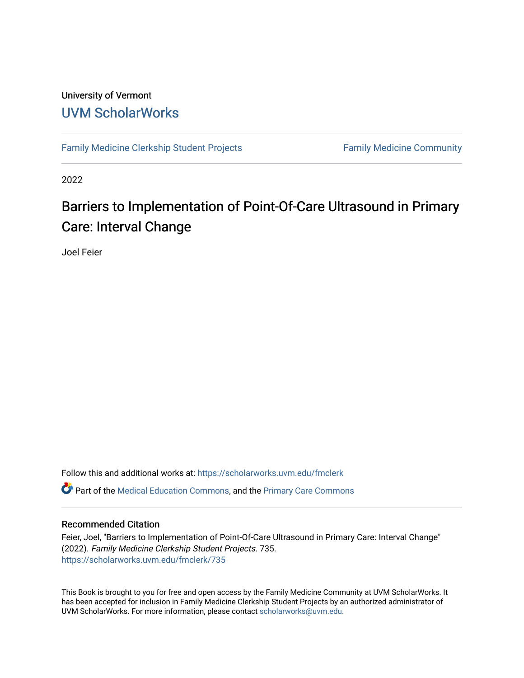#### University of Vermont [UVM ScholarWorks](https://scholarworks.uvm.edu/)

[Family Medicine Clerkship Student Projects](https://scholarworks.uvm.edu/fmclerk) Family Medicine Community

2022

#### Barriers to Implementation of Point-Of-Care Ultrasound in Primary Care: Interval Change

Joel Feier

Follow this and additional works at: [https://scholarworks.uvm.edu/fmclerk](https://scholarworks.uvm.edu/fmclerk?utm_source=scholarworks.uvm.edu%2Ffmclerk%2F735&utm_medium=PDF&utm_campaign=PDFCoverPages)  Part of the [Medical Education Commons,](http://network.bepress.com/hgg/discipline/1125?utm_source=scholarworks.uvm.edu%2Ffmclerk%2F735&utm_medium=PDF&utm_campaign=PDFCoverPages) and the [Primary Care Commons](http://network.bepress.com/hgg/discipline/1092?utm_source=scholarworks.uvm.edu%2Ffmclerk%2F735&utm_medium=PDF&utm_campaign=PDFCoverPages) 

#### Recommended Citation

Feier, Joel, "Barriers to Implementation of Point-Of-Care Ultrasound in Primary Care: Interval Change" (2022). Family Medicine Clerkship Student Projects. 735. [https://scholarworks.uvm.edu/fmclerk/735](https://scholarworks.uvm.edu/fmclerk/735?utm_source=scholarworks.uvm.edu%2Ffmclerk%2F735&utm_medium=PDF&utm_campaign=PDFCoverPages) 

This Book is brought to you for free and open access by the Family Medicine Community at UVM ScholarWorks. It has been accepted for inclusion in Family Medicine Clerkship Student Projects by an authorized administrator of UVM ScholarWorks. For more information, please contact [scholarworks@uvm.edu.](mailto:scholarworks@uvm.edu)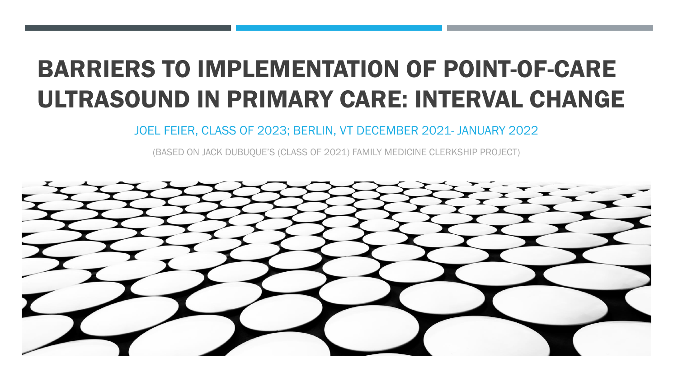# BARRIERS TO IMPLEMENTATION OF POINT-OF-CARE ULTRASOUND IN PRIMARY CARE: INTERVAL CHANGE

JOEL FEIER, CLASS OF 2023; BERLIN, VT DECEMBER 2021- JANUARY 2022

(BASED ON JACK DUBUQUE'S (CLASS OF 2021) FAMILY MEDICINE CLERKSHIP PROJECT)

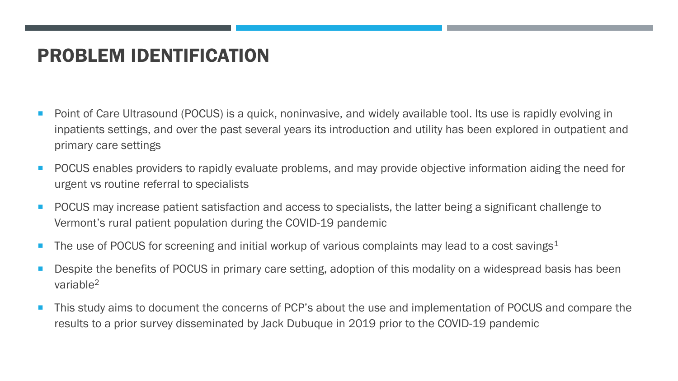## PROBLEM IDENTIFICATION

- Point of Care Ultrasound (POCUS) is a quick, noninvasive, and widely available tool. Its use is rapidly evolving in inpatients settings, and over the past several years its introduction and utility has been explored in outpatient and primary care settings
- **POCUS** enables providers to rapidly evaluate problems, and may provide objective information aiding the need for urgent vs routine referral to specialists
- **POCUS** may increase patient satisfaction and access to specialists, the latter being a significant challenge to Vermont's rural patient population during the COVID-19 pandemic
- The use of POCUS for screening and initial workup of various complaints may lead to a cost savings<sup>1</sup>
- Despite the benefits of POCUS in primary care setting, adoption of this modality on a widespread basis has been variable<sup>2</sup>
- This study aims to document the concerns of PCP's about the use and implementation of POCUS and compare the results to a prior survey disseminated by Jack Dubuque in 2019 prior to the COVID-19 pandemic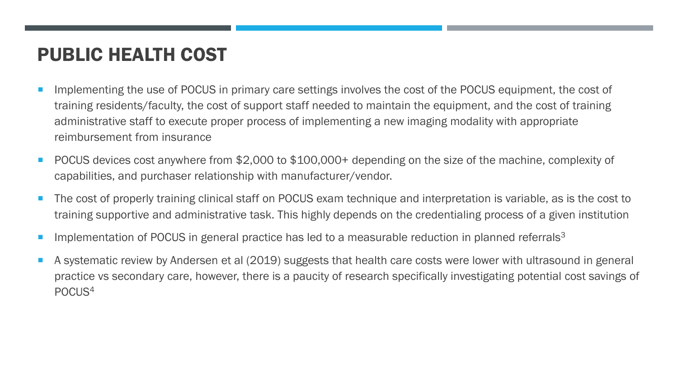# PUBLIC HEALTH COST

- Implementing the use of POCUS in primary care settings involves the cost of the POCUS equipment, the cost of training residents/faculty, the cost of support staff needed to maintain the equipment, and the cost of training administrative staff to execute proper process of implementing a new imaging modality with appropriate reimbursement from insurance
- POCUS devices cost anywhere from \$2,000 to \$100,000+ depending on the size of the machine, complexity of capabilities, and purchaser relationship with manufacturer/vendor.
- The cost of properly training clinical staff on POCUS exam technique and interpretation is variable, as is the cost to training supportive and administrative task. This highly depends on the credentialing process of a given institution
- Implementation of POCUS in general practice has led to a measurable reduction in planned referrals<sup>3</sup>
- A systematic review by Andersen et al (2019) suggests that health care costs were lower with ultrasound in general practice vs secondary care, however, there is a paucity of research specifically investigating potential cost savings of POCUS4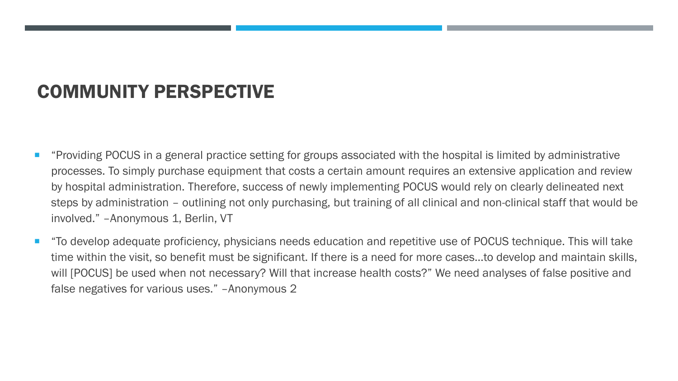# COMMUNITY PERSPECTIVE

- "Providing POCUS in a general practice setting for groups associated with the hospital is limited by administrative processes. To simply purchase equipment that costs a certain amount requires an extensive application and review by hospital administration. Therefore, success of newly implementing POCUS would rely on clearly delineated next steps by administration – outlining not only purchasing, but training of all clinical and non-clinical staff that would be involved." –Anonymous 1, Berlin, VT
- "To develop adequate proficiency, physicians needs education and repetitive use of POCUS technique. This will take time within the visit, so benefit must be significant. If there is a need for more cases…to develop and maintain skills, will [POCUS] be used when not necessary? Will that increase health costs?" We need analyses of false positive and false negatives for various uses." –Anonymous 2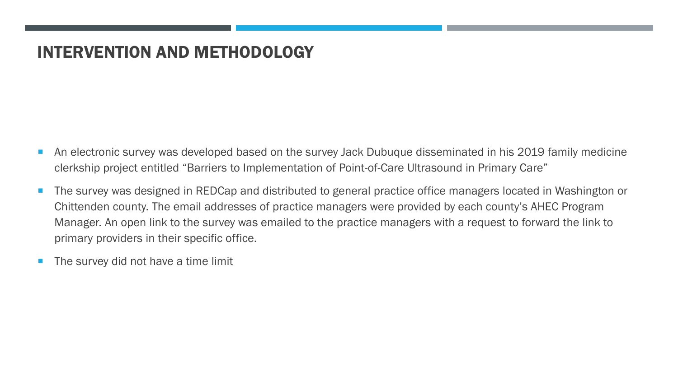#### INTERVENTION AND METHODOLOGY

- An electronic survey was developed based on the survey Jack Dubuque disseminated in his 2019 family medicine clerkship project entitled "Barriers to Implementation of Point-of-Care Ultrasound in Primary Care"
- The survey was designed in REDCap and distributed to general practice office managers located in Washington or Chittenden county. The email addresses of practice managers were provided by each county's AHEC Program Manager. An open link to the survey was emailed to the practice managers with a request to forward the link to primary providers in their specific office.
- The survey did not have a time limit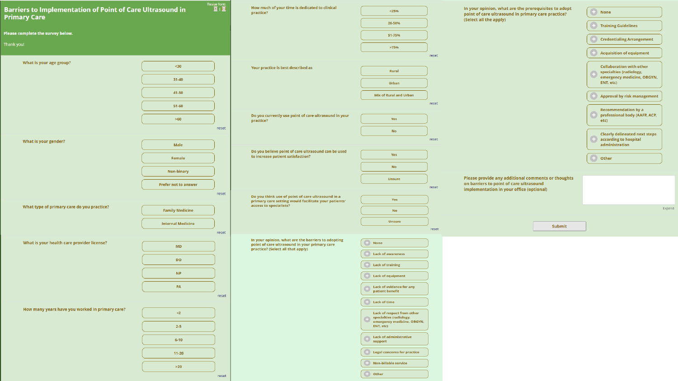| Barriers to Implementation of Point of Care Ultrasound in<br><b>Primary Care</b> |                             | $\overline{E}$   $\overline{E}$ | How much of your time is dedicated to clinical<br>practice?                                                                                   | $<$ 25%                                                                                                                                                    |                | In your opinion, what are the prerequisites to adopt<br>point of care ultrasound in primary care practice?                                | $\bigoplus$ None                                                                                    |        |
|----------------------------------------------------------------------------------|-----------------------------|---------------------------------|-----------------------------------------------------------------------------------------------------------------------------------------------|------------------------------------------------------------------------------------------------------------------------------------------------------------|----------------|-------------------------------------------------------------------------------------------------------------------------------------------|-----------------------------------------------------------------------------------------------------|--------|
|                                                                                  |                             |                                 |                                                                                                                                               | 26-50%                                                                                                                                                     |                | (Select all the apply)                                                                                                                    |                                                                                                     |        |
| Please complete the survey below.                                                |                             |                                 |                                                                                                                                               | 51-75%                                                                                                                                                     |                |                                                                                                                                           | $\bullet$<br><b>Credentialing Arrangement</b>                                                       |        |
| Thank you!                                                                       |                             |                                 |                                                                                                                                               | >75%                                                                                                                                                       |                |                                                                                                                                           | $\blacksquare$<br><b>Acquisition of equipment</b>                                                   |        |
| What is your age group?                                                          |                             |                                 | Your practice is best described as                                                                                                            |                                                                                                                                                            | reset          |                                                                                                                                           | <b>Collaboration with other</b><br>specialties (radiology,<br>m.<br>w<br>emergency medicine, OBGYN, |        |
|                                                                                  | $30$                        |                                 |                                                                                                                                               | Rural                                                                                                                                                      |                |                                                                                                                                           |                                                                                                     |        |
|                                                                                  | $31 - 40$                   |                                 |                                                                                                                                               | Urban                                                                                                                                                      |                |                                                                                                                                           | ENT, etc)                                                                                           |        |
|                                                                                  | 41-50                       |                                 |                                                                                                                                               | <b>Mix of Rural and Urban</b>                                                                                                                              | reset          |                                                                                                                                           | G<br>Approval by risk management                                                                    |        |
|                                                                                  | $51 - 60$                   |                                 |                                                                                                                                               |                                                                                                                                                            |                |                                                                                                                                           | <b>Recommendation by a</b>                                                                          |        |
|                                                                                  | $>60$                       |                                 | Do you currently use point of care ultrasound in your<br>practice?                                                                            | Yes                                                                                                                                                        |                |                                                                                                                                           | ÷<br>professional body (AAFP, ACP,<br>etc)                                                          |        |
|                                                                                  |                             | reset                           |                                                                                                                                               | <b>No</b>                                                                                                                                                  |                |                                                                                                                                           | Clearly delineated next steps                                                                       |        |
| What is your gender?                                                             | Male                        | reset                           |                                                                                                                                               |                                                                                                                                                            | reset<br>reset |                                                                                                                                           | Œ<br>according to hospital<br>administration                                                        |        |
|                                                                                  | Female                      |                                 | Do you believe point of care ultrasound can be used<br>to increase patient satisfaction?<br>Do you think use of point of care ultrasound in a | Yes                                                                                                                                                        |                |                                                                                                                                           | $\bigoplus$ Other                                                                                   |        |
|                                                                                  | <b>Non-binary</b>           |                                 |                                                                                                                                               | <b>No</b>                                                                                                                                                  |                | Please provide any additional comments or thoughts<br>on barriers to point of care ultrasound<br>implementation in your office (optional) |                                                                                                     |        |
|                                                                                  | <b>Prefer not to answer</b> |                                 |                                                                                                                                               | <b>Unsure</b>                                                                                                                                              |                |                                                                                                                                           |                                                                                                     |        |
|                                                                                  |                             |                                 |                                                                                                                                               |                                                                                                                                                            |                |                                                                                                                                           |                                                                                                     |        |
| What type of primary care do you practice?                                       |                             |                                 | primary care setting would facilitate your patients'<br>access to specialists?                                                                | Yes                                                                                                                                                        |                |                                                                                                                                           |                                                                                                     | Expand |
|                                                                                  | <b>Family Medicine</b>      |                                 |                                                                                                                                               | <b>No</b>                                                                                                                                                  |                |                                                                                                                                           |                                                                                                     |        |
|                                                                                  | <b>Internal Medicine</b>    |                                 |                                                                                                                                               | <b>Unsure</b>                                                                                                                                              | reset          | Submit                                                                                                                                    |                                                                                                     |        |
|                                                                                  |                             | reset                           | In your opinion, what are the barriers to adopting                                                                                            |                                                                                                                                                            |                |                                                                                                                                           |                                                                                                     |        |
| What is your health care provider license?                                       | MD                          |                                 | point of care ultrasound in your primary care<br>practice? (Select all that apply)                                                            | $\begin{pmatrix} 1 & 1 \\ 1 & 1 \end{pmatrix}$ None                                                                                                        |                |                                                                                                                                           |                                                                                                     |        |
|                                                                                  | <b>DO</b>                   |                                 |                                                                                                                                               | $\left( \begin{array}{ccc} 1 & 1 \\ 1 & 1 \end{array} \right)$ Lack of awareness<br>$\left( \begin{array}{cc} 1 \\ 1 \end{array} \right)$ Lack of training |                |                                                                                                                                           |                                                                                                     |        |
|                                                                                  | <b>NP</b>                   |                                 |                                                                                                                                               | $\blacksquare$ Lack of equipment                                                                                                                           |                |                                                                                                                                           |                                                                                                     |        |
|                                                                                  | PA                          |                                 |                                                                                                                                               | $\Box$ Lack of evidence for any                                                                                                                            |                |                                                                                                                                           |                                                                                                     |        |
|                                                                                  |                             | reset                           |                                                                                                                                               | patient benefit                                                                                                                                            |                |                                                                                                                                           |                                                                                                     |        |
| How many years have you worked in primary care?                                  | $\left( 2\right)$           |                                 |                                                                                                                                               | $\left( \frac{1}{2} \right)$ Lack of time<br>Lack of respect from other                                                                                    |                |                                                                                                                                           |                                                                                                     |        |
|                                                                                  |                             |                                 |                                                                                                                                               | specialties (radiology,<br>emergency medicine, OBGYN,                                                                                                      |                |                                                                                                                                           |                                                                                                     |        |
|                                                                                  | $2 - 5$                     |                                 |                                                                                                                                               | ENT, etc)<br>$\Box$ Lack of administrative                                                                                                                 |                |                                                                                                                                           |                                                                                                     |        |
|                                                                                  | $6 - 10$                    |                                 |                                                                                                                                               | support                                                                                                                                                    |                |                                                                                                                                           |                                                                                                     |        |
|                                                                                  | $11 - 20$                   |                                 |                                                                                                                                               | $\blacksquare$ Legal concerns for practice                                                                                                                 |                |                                                                                                                                           |                                                                                                     |        |
|                                                                                  | $>20$                       |                                 |                                                                                                                                               | $\blacksquare$ Non-billable service                                                                                                                        |                |                                                                                                                                           |                                                                                                     |        |
|                                                                                  |                             | reset                           |                                                                                                                                               | $\bigoplus$ Other                                                                                                                                          |                |                                                                                                                                           |                                                                                                     |        |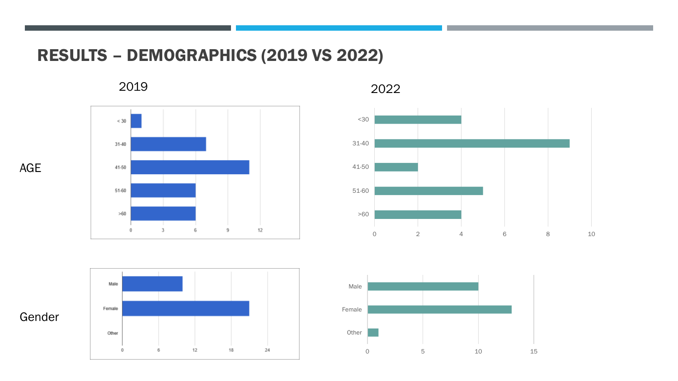#### RESULTS – DEMOGRAPHICS (2019 VS 2022)

2019



2022







AGE

Gender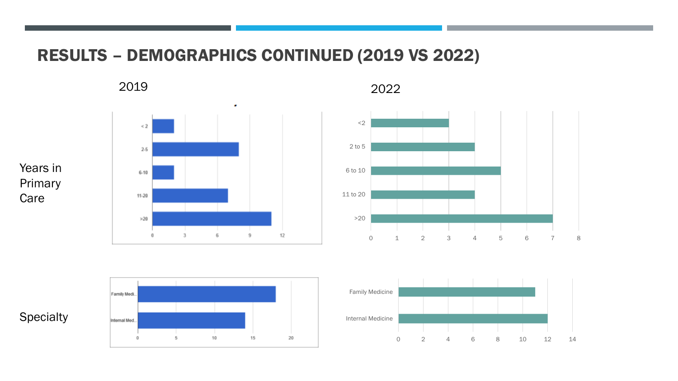#### RESULTS – DEMOGRAPHICS CONTINUED (2019 VS 2022)

2019 2022







Years in

Primary

**Care** 



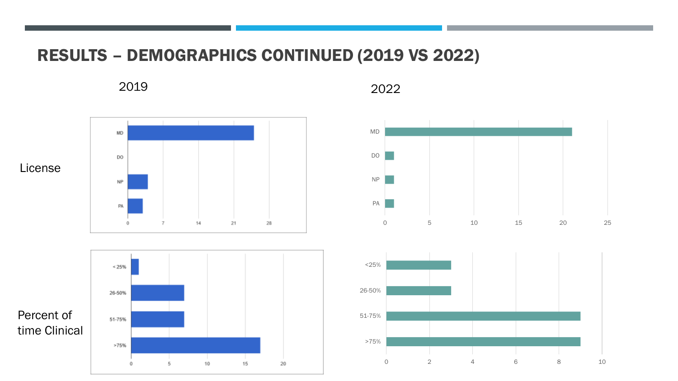#### RESULTS – DEMOGRAPHICS CONTINUED (2019 VS 2022)

15

20

 $10$ 

2019 2022

 $\bf{0}$ 



5



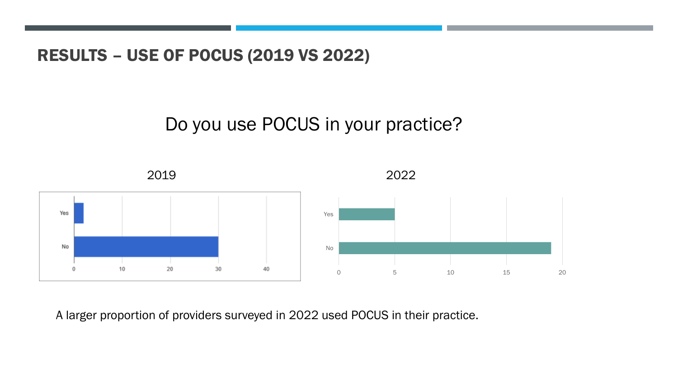RESULTS – USE OF POCUS (2019 VS 2022)

# Do you use POCUS in your practice?



A larger proportion of providers surveyed in 2022 used POCUS in their practice.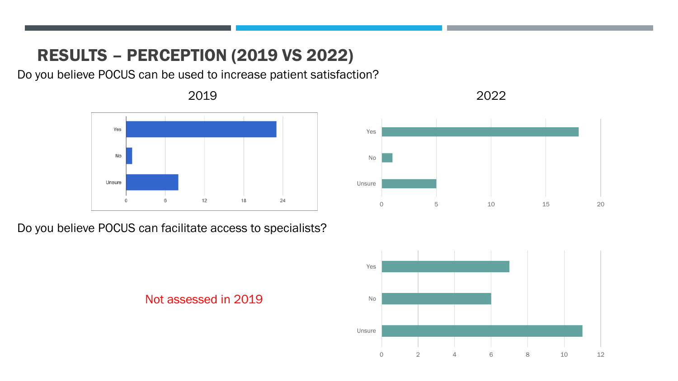### RESULTS – PERCEPTION (2019 VS 2022)

Do you believe POCUS can be used to increase patient satisfaction?



Do you believe POCUS can facilitate access to specialists?







2019 2022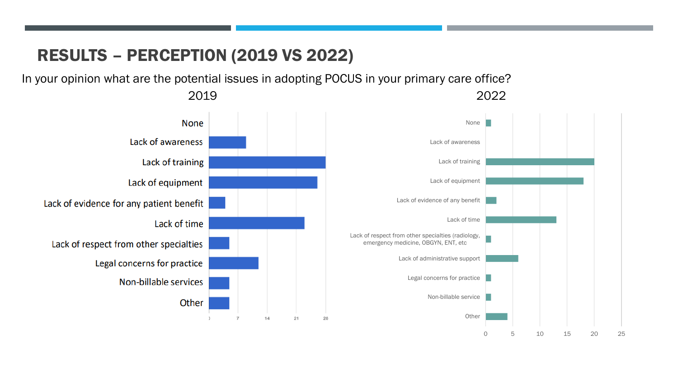### RESULTS – PERCEPTION (2019 VS 2022)

In your opinion what are the potential issues in adopting POCUS in your primary care office?

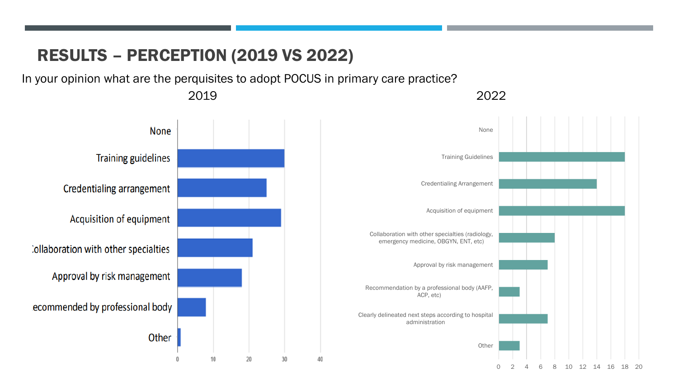#### RESULTS – PERCEPTION (2019 VS 2022)

In your opinion what are the perquisites to adopt POCUS in primary care practice?

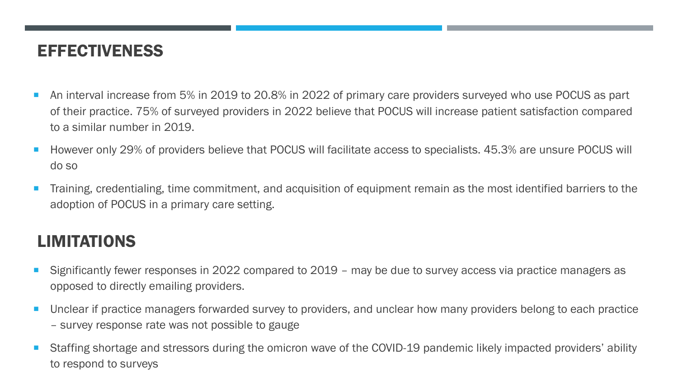#### **EFFECTIVENESS**

- An interval increase from 5% in 2019 to 20.8% in 2022 of primary care providers surveyed who use POCUS as part of their practice. 75% of surveyed providers in 2022 believe that POCUS will increase patient satisfaction compared to a similar number in 2019.
- However only 29% of providers believe that POCUS will facilitate access to specialists. 45.3% are unsure POCUS will do so
- Training, credentialing, time commitment, and acquisition of equipment remain as the most identified barriers to the adoption of POCUS in a primary care setting.

#### LIMITATIONS

- Significantly fewer responses in 2022 compared to 2019 may be due to survey access via practice managers as opposed to directly emailing providers.
- **Unclear if practice managers forwarded survey to providers, and unclear how many providers belong to each practice** – survey response rate was not possible to gauge
- Staffing shortage and stressors during the omicron wave of the COVID-19 pandemic likely impacted providers' ability to respond to surveys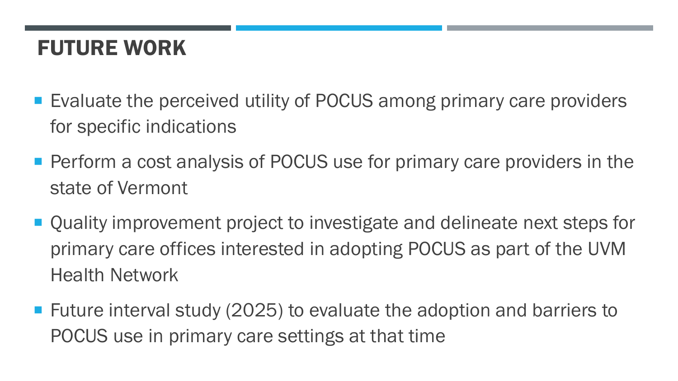# FUTURE WORK

- Evaluate the perceived utility of POCUS among primary care providers for specific indications
- **Perform a cost analysis of POCUS use for primary care providers in the** state of Vermont
- Quality improvement project to investigate and delineate next steps for primary care offices interested in adopting POCUS as part of the UVM Health Network
- Future interval study (2025) to evaluate the adoption and barriers to POCUS use in primary care settings at that time